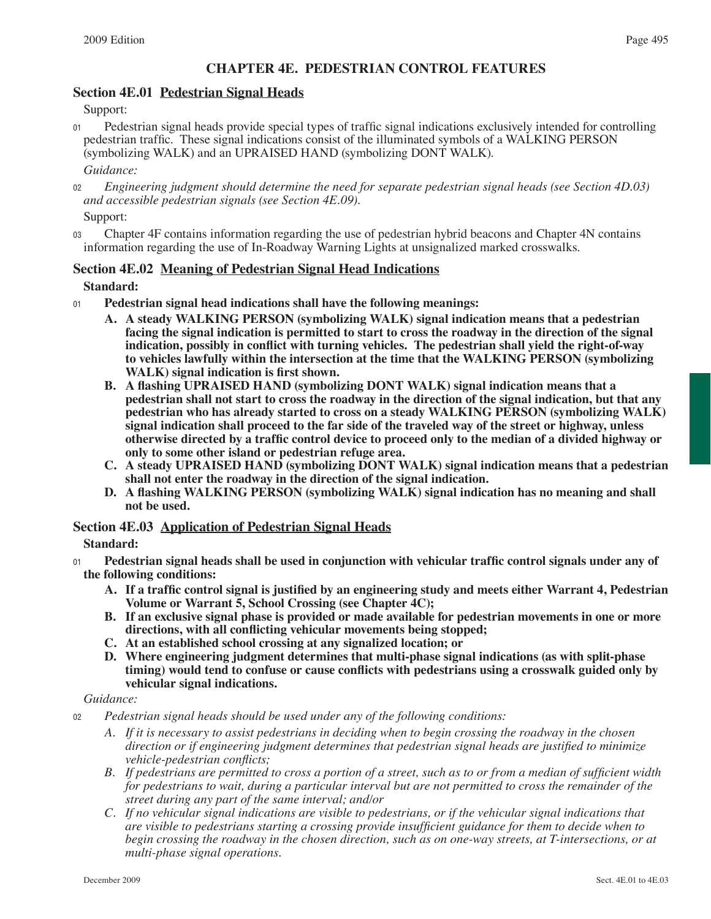# **CHAPTER 4E. PEDESTRIAN CONTROL FEATURES**

# **Section 4E.01 Pedestrian Signal Heads**

## Support:

- <sup>01</sup>Pedestrian signal heads provide special types of traffic signal indications exclusively intended for controlling pedestrian traffic. These signal indications consist of the illuminated symbols of a WALKING PERSON (symbolizing WALK) and an UPRAISED HAND (symbolizing DONT WALK). *Guidance:*
- <sup>02</sup>*Engineering judgment should determine the need for separate pedestrian signal heads (see Section 4D.03) and accessible pedestrian signals (see Section 4E.09).*

Support:

<sup>03</sup>Chapter 4F contains information regarding the use of pedestrian hybrid beacons and Chapter 4N contains information regarding the use of In-Roadway Warning Lights at unsignalized marked crosswalks.

# **Section 4E.02 Meaning of Pedestrian Signal Head Indications**

# **Standard:**

- <sup>01</sup>**Pedestrian signal head indications shall have the following meanings:**
	- **A. A steady WALKING PERSON (symbolizing WALK) signal indication means that a pedestrian facing the signal indication is permitted to start to cross the roadway in the direction of the signal indication, possibly in conflict with turning vehicles. The pedestrian shall yield the right-of-way to vehicles lawfully within the intersection at the time that the WALKING PERSON (symbolizing WALK) signal indication is first shown.**
	- **B. A flashing UPRAISED HAND (symbolizing DONT WALK) signal indication means that a pedestrian shall not start to cross the roadway in the direction of the signal indication, but that any pedestrian who has already started to cross on a steady WALKING PERSON (symbolizing WALK) signal indication shall proceed to the far side of the traveled way of the street or highway, unless otherwise directed by a traffic control device to proceed only to the median of a divided highway or only to some other island or pedestrian refuge area.**
	- **C. A steady UPRAISED HAND (symbolizing DONT WALK) signal indication means that a pedestrian shall not enter the roadway in the direction of the signal indication.**
	- **D. A flashing WALKING PERSON (symbolizing WALK) signal indication has no meaning and shall not be used.**

# **Section 4E.03 Application of Pedestrian Signal Heads**

# **Standard:**

- <sup>01</sup>**Pedestrian signal heads shall be used in conjunction with vehicular traffic control signals under any of the following conditions:**
	- **A. If a traffic control signal is justified by an engineering study and meets either Warrant 4, Pedestrian Volume or Warrant 5, School Crossing (see Chapter 4C);**
	- **B. If an exclusive signal phase is provided or made available for pedestrian movements in one or more directions, with all conflicting vehicular movements being stopped;**
	- **C. At an established school crossing at any signalized location; or**
	- **D. Where engineering judgment determines that multi-phase signal indications (as with split-phase timing) would tend to confuse or cause conflicts with pedestrians using a crosswalk guided only by vehicular signal indications.**

# *Guidance:*

- <sup>02</sup>*Pedestrian signal heads should be used under any of the following conditions:*
	- *A. If it is necessary to assist pedestrians in deciding when to begin crossing the roadway in the chosen direction or if engineering judgment determines that pedestrian signal heads are justified to minimize vehicle-pedestrian conflicts;*
	- *B. If pedestrians are permitted to cross a portion of a street, such as to or from a median of sufficient width for pedestrians to wait, during a particular interval but are not permitted to cross the remainder of the street during any part of the same interval; and/or*
	- *C. If no vehicular signal indications are visible to pedestrians, or if the vehicular signal indications that are visible to pedestrians starting a crossing provide insufficient guidance for them to decide when to begin crossing the roadway in the chosen direction, such as on one-way streets, at T-intersections, or at multi-phase signal operations.*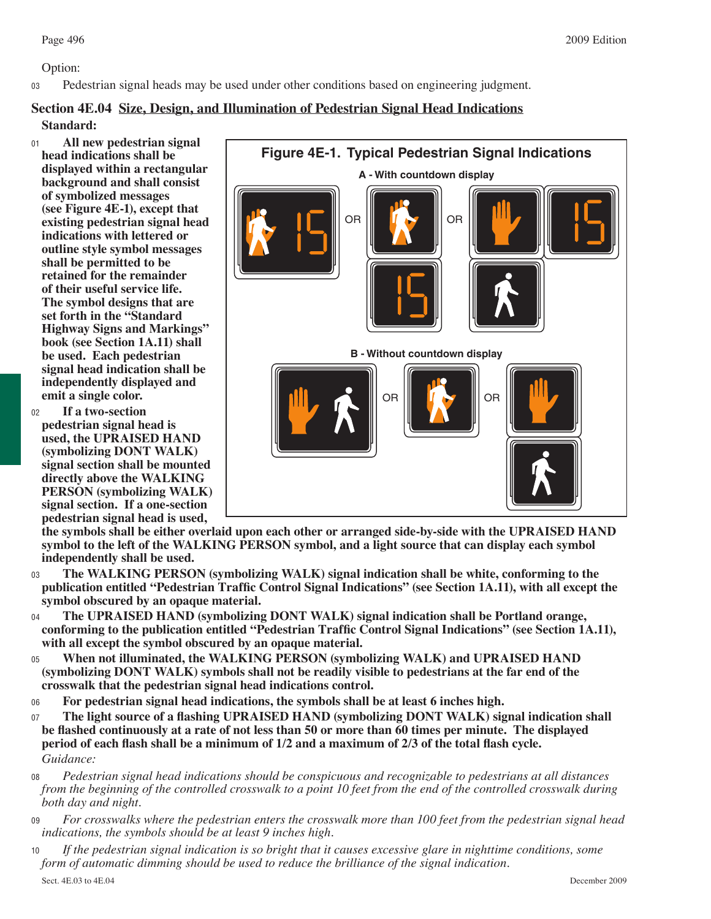<sup>03</sup>Pedestrian signal heads may be used under other conditions based on engineering judgment.

# **Section 4E.04 Size, Design, and Illumination of Pedestrian Signal Head Indications Standard:**

- <sup>01</sup>**All new pedestrian signal head indications shall be displayed within a rectangular background and shall consist of symbolized messages (see Figure 4E-1), except that existing pedestrian signal head indications with lettered or outline style symbol messages shall be permitted to be retained for the remainder of their useful service life. The symbol designs that are set forth in the "Standard Highway Signs and Markings" book (see Section 1A.11) shall be used. Each pedestrian signal head indication shall be independently displayed and emit a single color.**
- <sup>02</sup>**If a two-section pedestrian signal head is used, the UPRAISED HAND (symbolizing DONT WALK) signal section shall be mounted directly above the WALKING PERSON (symbolizing WALK) signal section. If a one-section pedestrian signal head is used,**



**the symbols shall be either overlaid upon each other or arranged side-by-side with the UPRAISED HAND symbol to the left of the WALKING PERSON symbol, and a light source that can display each symbol independently shall be used.**

- <sup>03</sup>**The WALKING PERSON (symbolizing WALK) signal indication shall be white, conforming to the publication entitled "Pedestrian Traffic Control Signal Indications" (see Section 1A.11), with all except the symbol obscured by an opaque material.**
- <sup>04</sup>**The UPRAISED HAND (symbolizing DONT WALK) signal indication shall be Portland orange, conforming to the publication entitled "Pedestrian Traffic Control Signal Indications" (see Section 1A.11), with all except the symbol obscured by an opaque material.**
- <sup>05</sup>**When not illuminated, the WALKING PERSON (symbolizing WALK) and UPRAISED HAND (symbolizing DONT WALK) symbols shall not be readily visible to pedestrians at the far end of the crosswalk that the pedestrian signal head indications control.**
- <sup>06</sup>**For pedestrian signal head indications, the symbols shall be at least 6 inches high.**
- <sup>07</sup>**The light source of a flashing UPRAISED HAND (symbolizing DONT WALK) signal indication shall be flashed continuously at a rate of not less than 50 or more than 60 times per minute. The displayed period of each flash shall be a minimum of 1/2 and a maximum of 2/3 of the total flash cycle.** *Guidance:*
- <sup>08</sup>*Pedestrian signal head indications should be conspicuous and recognizable to pedestrians at all distances from the beginning of the controlled crosswalk to a point 10 feet from the end of the controlled crosswalk during both day and night.*
- <sup>09</sup>*For crosswalks where the pedestrian enters the crosswalk more than 100 feet from the pedestrian signal head indications, the symbols should be at least 9 inches high.*
- <sup>10</sup>*If the pedestrian signal indication is so bright that it causes excessive glare in nighttime conditions, some form of automatic dimming should be used to reduce the brilliance of the signal indication.*

Sect. 4E.03 to 4E.04 December 2009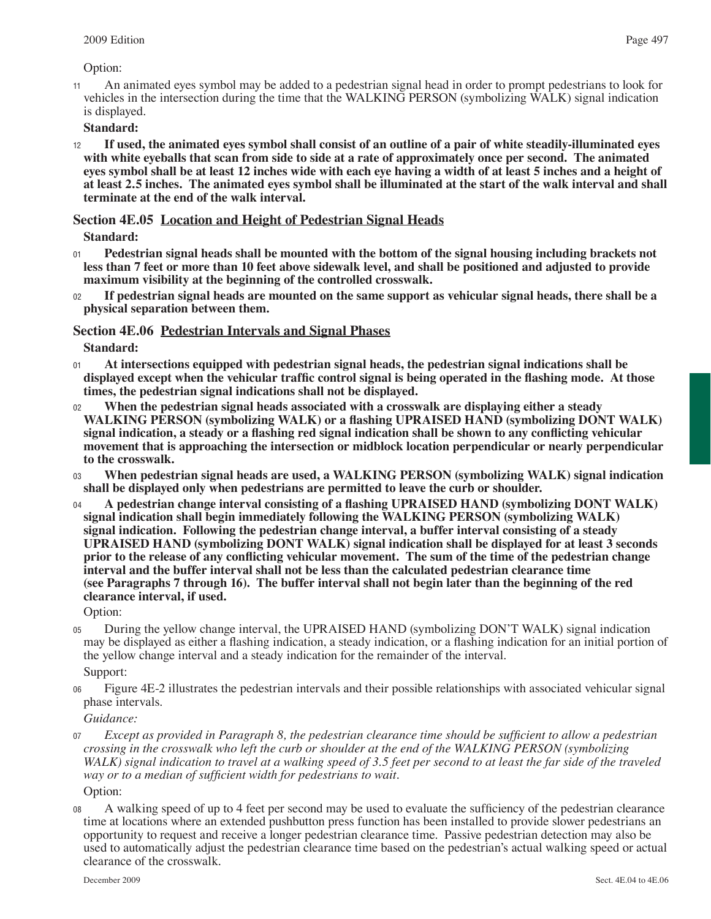<sup>11</sup>An animated eyes symbol may be added to a pedestrian signal head in order to prompt pedestrians to look for vehicles in the intersection during the time that the WALKING PERSON (symbolizing WALK) signal indication is displayed.

**Standard:**

<sup>12</sup>**If used, the animated eyes symbol shall consist of an outline of a pair of white steadily-illuminated eyes with white eyeballs that scan from side to side at a rate of approximately once per second. The animated eyes symbol shall be at least 12 inches wide with each eye having a width of at least 5 inches and a height of at least 2.5 inches. The animated eyes symbol shall be illuminated at the start of the walk interval and shall terminate at the end of the walk interval.**

# **Section 4E.05 Location and Height of Pedestrian Signal Heads**

**Standard:**

<sup>01</sup>**Pedestrian signal heads shall be mounted with the bottom of the signal housing including brackets not less than 7 feet or more than 10 feet above sidewalk level, and shall be positioned and adjusted to provide maximum visibility at the beginning of the controlled crosswalk.**

<sup>02</sup>**If pedestrian signal heads are mounted on the same support as vehicular signal heads, there shall be a physical separation between them.**

# **Section 4E.06 Pedestrian Intervals and Signal Phases**

**Standard:**

- <sup>01</sup>**At intersections equipped with pedestrian signal heads, the pedestrian signal indications shall be displayed except when the vehicular traffic control signal is being operated in the flashing mode. At those times, the pedestrian signal indications shall not be displayed.**
- <sup>02</sup>**When the pedestrian signal heads associated with a crosswalk are displaying either a steady WALKING PERSON (symbolizing WALK) or a flashing UPRAISED HAND (symbolizing DONT WALK) signal indication, a steady or a flashing red signal indication shall be shown to any conflicting vehicular movement that is approaching the intersection or midblock location perpendicular or nearly perpendicular to the crosswalk.**
- <sup>03</sup>**When pedestrian signal heads are used, a WALKING PERSON (symbolizing WALK) signal indication shall be displayed only when pedestrians are permitted to leave the curb or shoulder.**
- <sup>04</sup>**A pedestrian change interval consisting of a flashing UPRAISED HAND (symbolizing DONT WALK) signal indication shall begin immediately following the WALKING PERSON (symbolizing WALK) signal indication. Following the pedestrian change interval, a buffer interval consisting of a steady UPRAISED HAND (symbolizing DONT WALK) signal indication shall be displayed for at least 3 seconds prior to the release of any conflicting vehicular movement. The sum of the time of the pedestrian change interval and the buffer interval shall not be less than the calculated pedestrian clearance time (see Paragraphs 7 through 16). The buffer interval shall not begin later than the beginning of the red clearance interval, if used.**

Option:

During the yellow change interval, the UPRAISED HAND (symbolizing DON'T WALK) signal indication may be displayed as either a flashing indication, a steady indication, or a flashing indication for an initial portion of the yellow change interval and a steady indication for the remainder of the interval.

Support:

Figure 4E-2 illustrates the pedestrian intervals and their possible relationships with associated vehicular signal phase intervals.

*Guidance:*

- <sup>07</sup>*Except as provided in Paragraph 8, the pedestrian clearance time should be sufficient to allow a pedestrian crossing in the crosswalk who left the curb or shoulder at the end of the WALKING PERSON (symbolizing WALK) signal indication to travel at a walking speed of 3.5 feet per second to at least the far side of the traveled way or to a median of sufficient width for pedestrians to wait.* Option:
- <sup>08</sup>A walking speed of up to 4 feet per second may be used to evaluate the sufficiency of the pedestrian clearance time at locations where an extended pushbutton press function has been installed to provide slower pedestrians an opportunity to request and receive a longer pedestrian clearance time. Passive pedestrian detection may also be used to automatically adjust the pedestrian clearance time based on the pedestrian's actual walking speed or actual clearance of the crosswalk.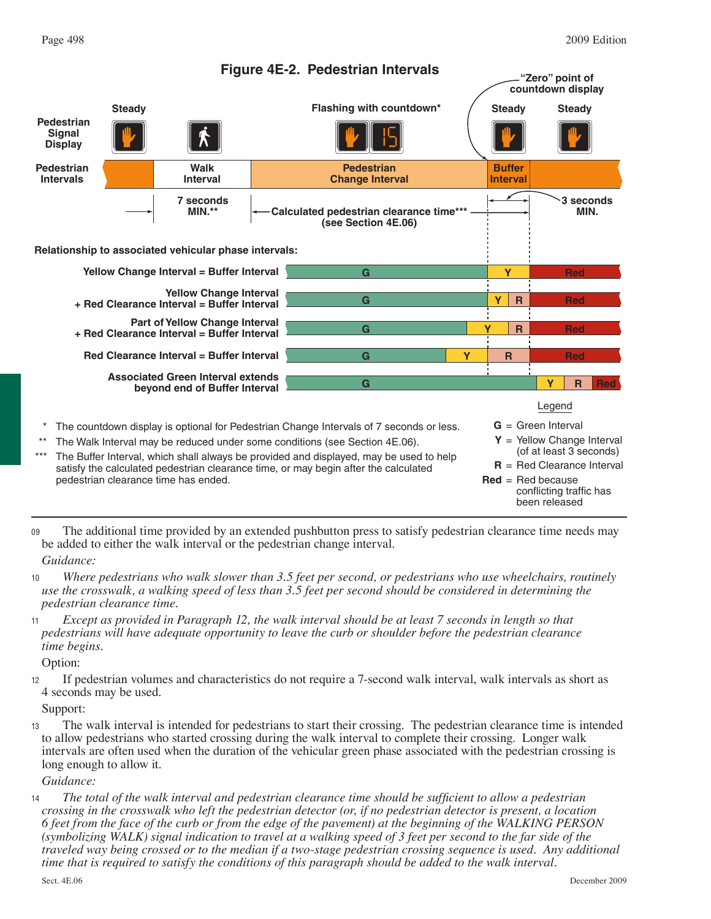|                                                                                                                             | Figure 4E-2. Pedestrian Intervals                                           |                                                                                        |                                                                |                                             |  |             | "Zero" point of<br>countdown display |                                                         |                                          |  |  |
|-----------------------------------------------------------------------------------------------------------------------------|-----------------------------------------------------------------------------|----------------------------------------------------------------------------------------|----------------------------------------------------------------|---------------------------------------------|--|-------------|--------------------------------------|---------------------------------------------------------|------------------------------------------|--|--|
|                                                                                                                             | <b>Steady</b>                                                               |                                                                                        |                                                                | Flashing with countdown*                    |  |             | <b>Steady</b>                        | <b>Steady</b>                                           |                                          |  |  |
| <b>Pedestrian</b><br><b>Signal</b><br><b>Display</b>                                                                        |                                                                             |                                                                                        |                                                                |                                             |  |             |                                      |                                                         |                                          |  |  |
| <b>Pedestrian</b><br><b>Intervals</b>                                                                                       |                                                                             | Walk<br>Interval                                                                       |                                                                | <b>Pedestrian</b><br><b>Change Interval</b> |  |             | <b>Buffer</b><br><b>Interval</b>     |                                                         |                                          |  |  |
|                                                                                                                             |                                                                             | 7 seconds<br>$MIN.*$                                                                   | Calculated pedestrian clearance time***<br>(see Section 4E.06) |                                             |  |             | 3 seconds<br>MIN.                    |                                                         |                                          |  |  |
| Relationship to associated vehicular phase intervals:                                                                       |                                                                             |                                                                                        |                                                                |                                             |  |             |                                      |                                                         |                                          |  |  |
| Yellow Change Interval = Buffer Interval<br>G                                                                               |                                                                             |                                                                                        |                                                                |                                             |  | Ÿ           |                                      | <b>Red</b>                                              |                                          |  |  |
| <b>Yellow Change Interval</b><br>G<br>+ Red Clearance Interval = Buffer Interval                                            |                                                                             |                                                                                        |                                                                |                                             |  | Y           | $\overline{R}$                       | <b>Red</b>                                              |                                          |  |  |
| <b>Part of Yellow Change Interval</b><br>G<br>+ Red Clearance Interval = Buffer Interval                                    |                                                                             |                                                                                        |                                                                |                                             |  | $\mathbf R$ |                                      | <b>Red</b>                                              |                                          |  |  |
| G<br><b>V</b><br>Red Clearance Interval = Buffer Interval                                                                   |                                                                             |                                                                                        |                                                                |                                             |  |             | $\overline{R}$<br><b>Red</b>         |                                                         |                                          |  |  |
| <b>Associated Green Interval extends</b><br>G<br>beyond end of Buffer Interval                                              |                                                                             |                                                                                        |                                                                |                                             |  |             |                                      | Y<br>$\overline{\mathsf{R}}$                            | <b>Red</b>                               |  |  |
|                                                                                                                             |                                                                             |                                                                                        |                                                                |                                             |  |             | Legend                               |                                                         |                                          |  |  |
| The countdown display is optional for Pedestrian Change Intervals of 7 seconds or less.                                     |                                                                             |                                                                                        |                                                                |                                             |  |             | $G = Green Interval$                 |                                                         |                                          |  |  |
|                                                                                                                             | The Walk Interval may be reduced under some conditions (see Section 4E.06). |                                                                                        |                                                                |                                             |  |             |                                      | $Y =$ Yellow Change Interval<br>(of at least 3 seconds) |                                          |  |  |
| $***$                                                                                                                       |                                                                             | The Buffer Interval, which shall always be provided and displayed, may be used to help |                                                                |                                             |  |             | $R = Red Clearance Interval$         |                                                         |                                          |  |  |
| satisfy the calculated pedestrian clearance time, or may begin after the calculated<br>pedestrian clearance time has ended. |                                                                             |                                                                                        |                                                                |                                             |  |             | $Red = Red because$                  |                                                         |                                          |  |  |
|                                                                                                                             |                                                                             |                                                                                        |                                                                |                                             |  |             |                                      |                                                         | conflicting traffic has<br>been released |  |  |

# <sup>09</sup>The additional time provided by an extended pushbutton press to satisfy pedestrian clearance time needs may be added to either the walk interval or the pedestrian change interval.

#### *Guidance:*

<sup>10</sup>*Where pedestrians who walk slower than 3.5 feet per second, or pedestrians who use wheelchairs, routinely use the crosswalk, a walking speed of less than 3.5 feet per second should be considered in determining the pedestrian clearance time.*

<sup>11</sup>*Except as provided in Paragraph 12, the walk interval should be at least 7 seconds in length so that pedestrians will have adequate opportunity to leave the curb or shoulder before the pedestrian clearance time begins.*

Option:

<sup>12</sup>If pedestrian volumes and characteristics do not require a 7-second walk interval, walk intervals as short as 4 seconds may be used.

Support:

<sup>13</sup>The walk interval is intended for pedestrians to start their crossing. The pedestrian clearance time is intended to allow pedestrians who started crossing during the walk interval to complete their crossing. Longer walk intervals are often used when the duration of the vehicular green phase associated with the pedestrian crossing is long enough to allow it.

*Guidance:*

<sup>14</sup>*The total of the walk interval and pedestrian clearance time should be sufficient to allow a pedestrian crossing in the crosswalk who left the pedestrian detector (or, if no pedestrian detector is present, a location 6 feet from the face of the curb or from the edge of the pavement) at the beginning of the WALKING PERSON (symbolizing WALK) signal indication to travel at a walking speed of 3 feet per second to the far side of the traveled way being crossed or to the median if a two-stage pedestrian crossing sequence is used. Any additional time that is required to satisfy the conditions of this paragraph should be added to the walk interval.*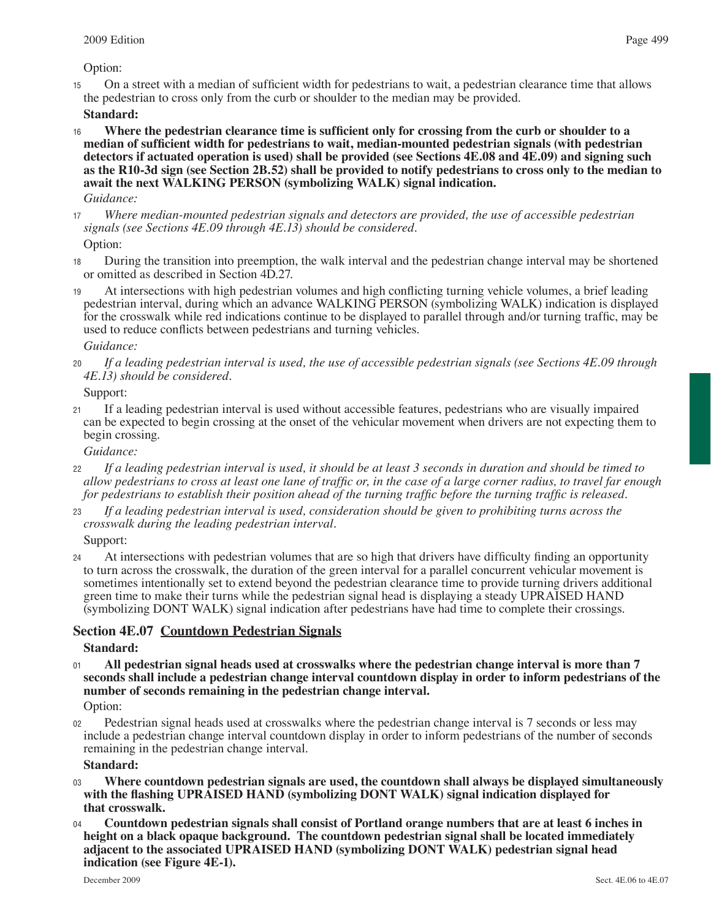<sup>15</sup>On a street with a median of sufficient width for pedestrians to wait, a pedestrian clearance time that allows the pedestrian to cross only from the curb or shoulder to the median may be provided.

**Standard:**

- <sup>16</sup>**Where the pedestrian clearance time is sufficient only for crossing from the curb or shoulder to a median of sufficient width for pedestrians to wait, median-mounted pedestrian signals (with pedestrian detectors if actuated operation is used) shall be provided (see Sections 4E.08 and 4E.09) and signing such as the R10-3d sign (see Section 2B.52) shall be provided to notify pedestrians to cross only to the median to await the next WALKING PERSON (symbolizing WALK) signal indication.** *Guidance:*
- <sup>17</sup>*Where median-mounted pedestrian signals and detectors are provided, the use of accessible pedestrian signals (see Sections 4E.09 through 4E.13) should be considered.*

Option:

18 During the transition into preemption, the walk interval and the pedestrian change interval may be shortened or omitted as described in Section 4D.27.

<sup>19</sup>At intersections with high pedestrian volumes and high conflicting turning vehicle volumes, a brief leading pedestrian interval, during which an advance WALKING PERSON (symbolizing WALK) indication is displayed for the crosswalk while red indications continue to be displayed to parallel through and/or turning traffic, may be used to reduce conflicts between pedestrians and turning vehicles.

*Guidance:*

<sup>20</sup>*If a leading pedestrian interval is used, the use of accessible pedestrian signals (see Sections 4E.09 through 4E.13) should be considered.*

Support:

<sup>21</sup>If a leading pedestrian interval is used without accessible features, pedestrians who are visually impaired can be expected to begin crossing at the onset of the vehicular movement when drivers are not expecting them to begin crossing.

*Guidance:*

- <sup>22</sup>*If a leading pedestrian interval is used, it should be at least 3 seconds in duration and should be timed to allow pedestrians to cross at least one lane of traffic or, in the case of a large corner radius, to travel far enough for pedestrians to establish their position ahead of the turning traffic before the turning traffic is released.*
- <sup>23</sup>*If a leading pedestrian interval is used, consideration should be given to prohibiting turns across the crosswalk during the leading pedestrian interval.*

Support:

24 At intersections with pedestrian volumes that are so high that drivers have difficulty finding an opportunity to turn across the crosswalk, the duration of the green interval for a parallel concurrent vehicular movement is sometimes intentionally set to extend beyond the pedestrian clearance time to provide turning drivers additional green time to make their turns while the pedestrian signal head is displaying a steady UPRAISED HAND (symbolizing DONT WALK) signal indication after pedestrians have had time to complete their crossings.

# **Section 4E.07 Countdown Pedestrian Signals**

**Standard:**

<sup>01</sup>**All pedestrian signal heads used at crosswalks where the pedestrian change interval is more than 7 seconds shall include a pedestrian change interval countdown display in order to inform pedestrians of the number of seconds remaining in the pedestrian change interval.**

Option:

<sup>02</sup>Pedestrian signal heads used at crosswalks where the pedestrian change interval is 7 seconds or less may include a pedestrian change interval countdown display in order to inform pedestrians of the number of seconds remaining in the pedestrian change interval.

- <sup>03</sup>**Where countdown pedestrian signals are used, the countdown shall always be displayed simultaneously with the flashing UPRAISED HAND (symbolizing DONT WALK) signal indication displayed for that crosswalk.**
- <sup>04</sup>**Countdown pedestrian signals shall consist of Portland orange numbers that are at least 6 inches in height on a black opaque background. The countdown pedestrian signal shall be located immediately adjacent to the associated UPRAISED HAND (symbolizing DONT WALK) pedestrian signal head indication (see Figure 4E-1).**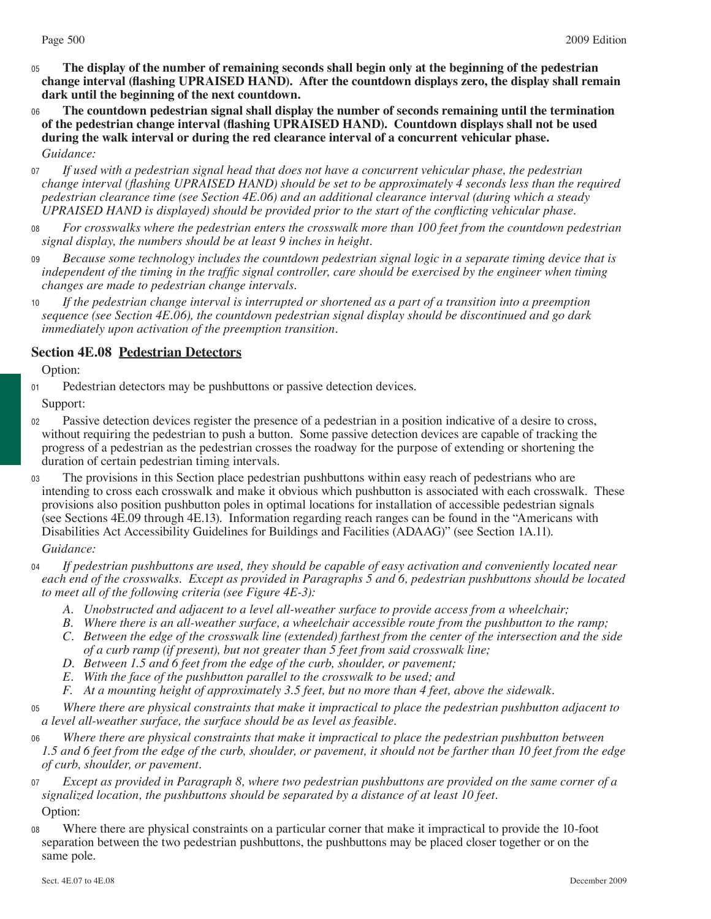- <sup>05</sup>**The display of the number of remaining seconds shall begin only at the beginning of the pedestrian change interval (flashing UPRAISED HAND). After the countdown displays zero, the display shall remain dark until the beginning of the next countdown.**
- <sup>06</sup>**The countdown pedestrian signal shall display the number of seconds remaining until the termination of the pedestrian change interval (flashing UPRAISED HAND). Countdown displays shall not be used during the walk interval or during the red clearance interval of a concurrent vehicular phase.** *Guidance:*
- <sup>07</sup>*If used with a pedestrian signal head that does not have a concurrent vehicular phase, the pedestrian change interval (flashing UPRAISED HAND) should be set to be approximately 4 seconds less than the required pedestrian clearance time (see Section 4E.06) and an additional clearance interval (during which a steady UPRAISED HAND is displayed) should be provided prior to the start of the conflicting vehicular phase.*
- <sup>08</sup>*For crosswalks where the pedestrian enters the crosswalk more than 100 feet from the countdown pedestrian signal display, the numbers should be at least 9 inches in height.*
- <sup>09</sup>*Because some technology includes the countdown pedestrian signal logic in a separate timing device that is independent of the timing in the traffic signal controller, care should be exercised by the engineer when timing changes are made to pedestrian change intervals.*
- <sup>10</sup>*If the pedestrian change interval is interrupted or shortened as a part of a transition into a preemption sequence (see Section 4E.06), the countdown pedestrian signal display should be discontinued and go dark immediately upon activation of the preemption transition.*

# **Section 4E.08 Pedestrian Detectors**

Option:

01 Pedestrian detectors may be pushbuttons or passive detection devices.

Support:

- <sup>02</sup>Passive detection devices register the presence of a pedestrian in a position indicative of a desire to cross, without requiring the pedestrian to push a button. Some passive detection devices are capable of tracking the progress of a pedestrian as the pedestrian crosses the roadway for the purpose of extending or shortening the duration of certain pedestrian timing intervals.
- <sup>03</sup>The provisions in this Section place pedestrian pushbuttons within easy reach of pedestrians who are intending to cross each crosswalk and make it obvious which pushbutton is associated with each crosswalk. These provisions also position pushbutton poles in optimal locations for installation of accessible pedestrian signals (see Sections 4E.09 through 4E.13). Information regarding reach ranges can be found in the "Americans with Disabilities Act Accessibility Guidelines for Buildings and Facilities (ADAAG)" (see Section 1A.11). *Guidance:*
- <sup>04</sup>*If pedestrian pushbuttons are used, they should be capable of easy activation and conveniently located near each end of the crosswalks. Except as provided in Paragraphs 5 and 6, pedestrian pushbuttons should be located to meet all of the following criteria (see Figure 4E-3):*
	- *A. Unobstructed and adjacent to a level all-weather surface to provide access from a wheelchair;*
	- *B. Where there is an all-weather surface, a wheelchair accessible route from the pushbutton to the ramp;*
	- *C. Between the edge of the crosswalk line (extended) farthest from the center of the intersection and the side of a curb ramp (if present), but not greater than 5 feet from said crosswalk line;*
	- *D. Between 1.5 and 6 feet from the edge of the curb, shoulder, or pavement;*
	- *E. With the face of the pushbutton parallel to the crosswalk to be used; and*
	- *F. At a mounting height of approximately 3.5 feet, but no more than 4 feet, above the sidewalk.*
- <sup>05</sup>*Where there are physical constraints that make it impractical to place the pedestrian pushbutton adjacent to a level all-weather surface, the surface should be as level as feasible.*
- <sup>06</sup>*Where there are physical constraints that make it impractical to place the pedestrian pushbutton between 1.5 and 6 feet from the edge of the curb, shoulder, or pavement, it should not be farther than 10 feet from the edge of curb, shoulder, or pavement.*
- <sup>07</sup>*Except as provided in Paragraph 8, where two pedestrian pushbuttons are provided on the same corner of a signalized location, the pushbuttons should be separated by a distance of at least 10 feet.*

Option:

<sup>08</sup>Where there are physical constraints on a particular corner that make it impractical to provide the 10-foot separation between the two pedestrian pushbuttons, the pushbuttons may be placed closer together or on the same pole.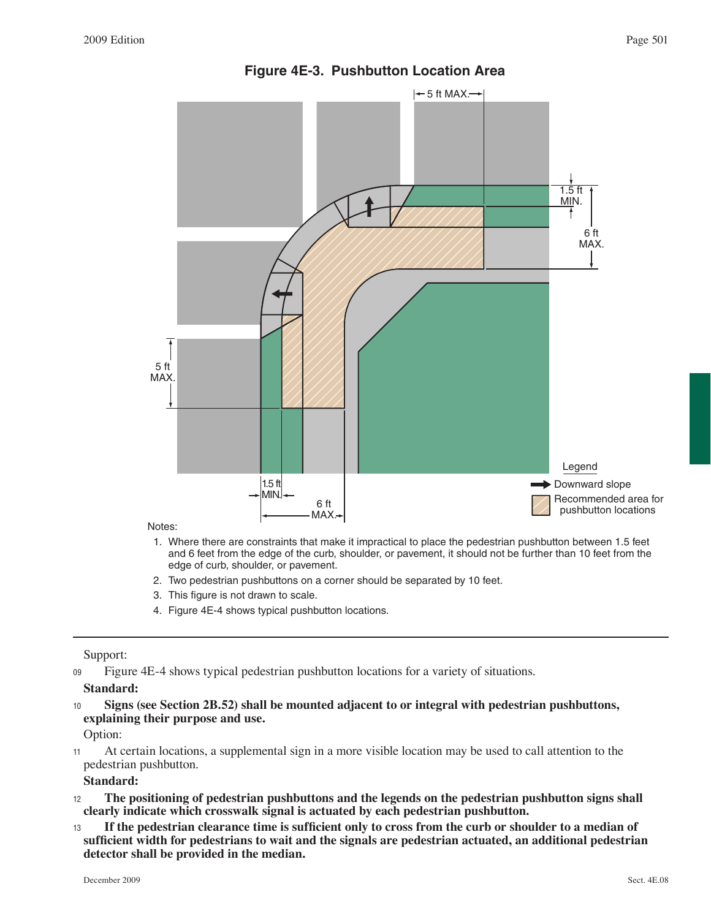



Notes:

- 1. Where there are constraints that make it impractical to place the pedestrian pushbutton between 1.5 feet and 6 feet from the edge of the curb, shoulder, or pavement, it should not be further than 10 feet from the edge of curb, shoulder, or pavement.
- 2. Two pedestrian pushbuttons on a corner should be separated by 10 feet.
- 3. This figure is not drawn to scale.
- 4. Figure 4E-4 shows typical pushbutton locations.

Support:

09 Figure 4E-4 shows typical pedestrian pushbutton locations for a variety of situations.

#### **Standard:**

<sup>10</sup>**Signs (see Section 2B.52) shall be mounted adjacent to or integral with pedestrian pushbuttons, explaining their purpose and use.**

Option:

<sup>11</sup>At certain locations, a supplemental sign in a more visible location may be used to call attention to the pedestrian pushbutton.

- <sup>12</sup>**The positioning of pedestrian pushbuttons and the legends on the pedestrian pushbutton signs shall clearly indicate which crosswalk signal is actuated by each pedestrian pushbutton.**
- <sup>13</sup>**If the pedestrian clearance time is sufficient only to cross from the curb or shoulder to a median of sufficient width for pedestrians to wait and the signals are pedestrian actuated, an additional pedestrian detector shall be provided in the median.**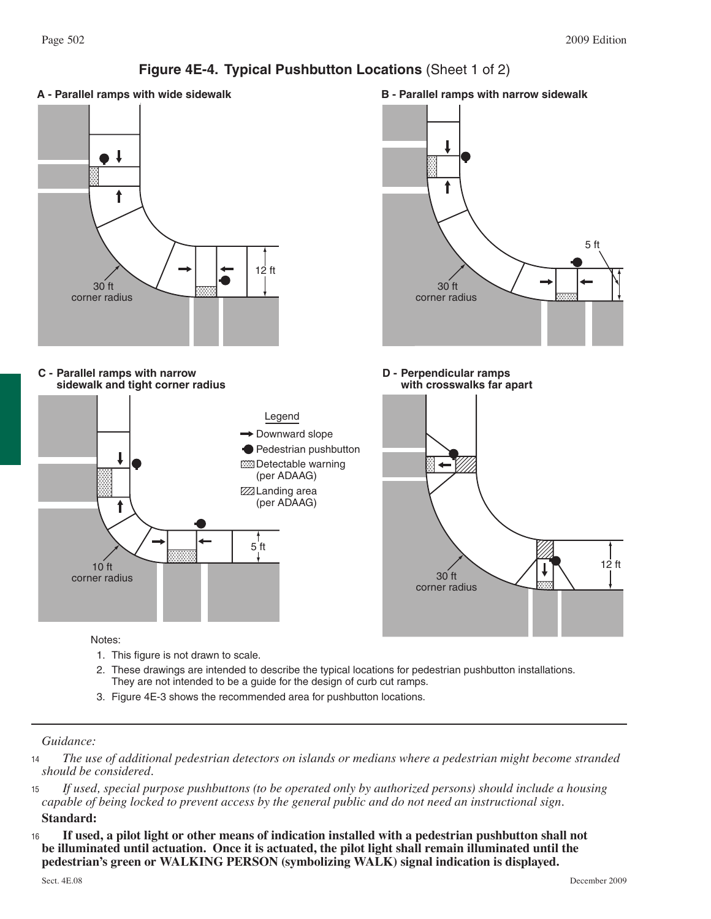# **Figure 4E-4. Typical Pushbutton Locations** (Sheet 1 of 2)

# **A - Parallel ramps with wide sidewalk**



**C - Parallel ramps with narrow sidewalk and tight corner radius**





**B - Parallel ramps with narrow sidewalk**

**D - Perpendicular ramps with crosswalks far apart**



Notes:

- 1. This figure is not drawn to scale.
- 2. These drawings are intended to describe the typical locations for pedestrian pushbutton installations. They are not intended to be a guide for the design of curb cut ramps.
- 3. Figure 4E-3 shows the recommended area for pushbutton locations.

## *Guidance:*

- <sup>14</sup>*The use of additional pedestrian detectors on islands or medians where a pedestrian might become stranded should be considered.*
- <sup>15</sup>*If used, special purpose pushbuttons (to be operated only by authorized persons) should include a housing capable of being locked to prevent access by the general public and do not need an instructional sign.*

#### **Standard:**

<sup>16</sup>**If used, a pilot light or other means of indication installed with a pedestrian pushbutton shall not be illuminated until actuation. Once it is actuated, the pilot light shall remain illuminated until the pedestrian's green or WALKING PERSON (symbolizing WALK) signal indication is displayed.**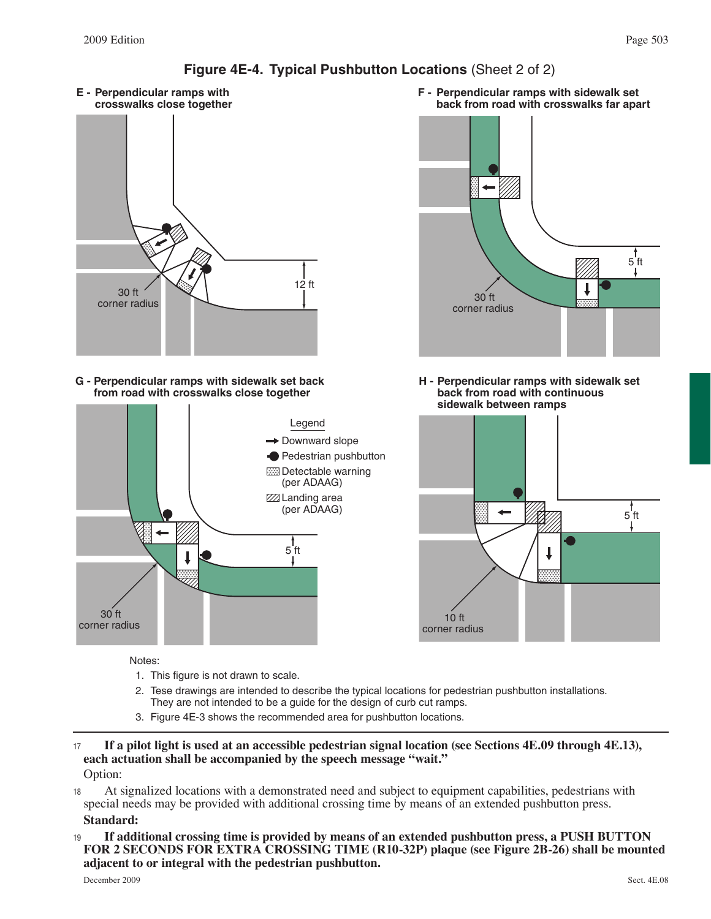



**G - Perpendicular ramps with sidewalk set back from road with crosswalks close together**



Notes:

- 1. This figure is not drawn to scale.
- 2. Tese drawings are intended to describe the typical locations for pedestrian pushbutton installations. They are not intended to be a guide for the design of curb cut ramps.
- 3. Figure 4E-3 shows the recommended area for pushbutton locations.
- <sup>17</sup>**If a pilot light is used at an accessible pedestrian signal location (see Sections 4E.09 through 4E.13), each actuation shall be accompanied by the speech message "wait."** Option:

18 At signalized locations with a demonstrated need and subject to equipment capabilities, pedestrians with special needs may be provided with additional crossing time by means of an extended pushbutton press. **Standard:**

<sup>19</sup>**If additional crossing time is provided by means of an extended pushbutton press, a PUSH BUTTON FOR 2 SECONDS FOR EXTRA CROSSING TIME (R10-32P) plaque (see Figure 2B-26) shall be mounted adjacent to or integral with the pedestrian pushbutton.**

**F - Perpendicular ramps with sidewalk set back from road with crosswalks far apart**



**H - Perpendicular ramps with sidewalk set back from road with continuous sidewalk between ramps**

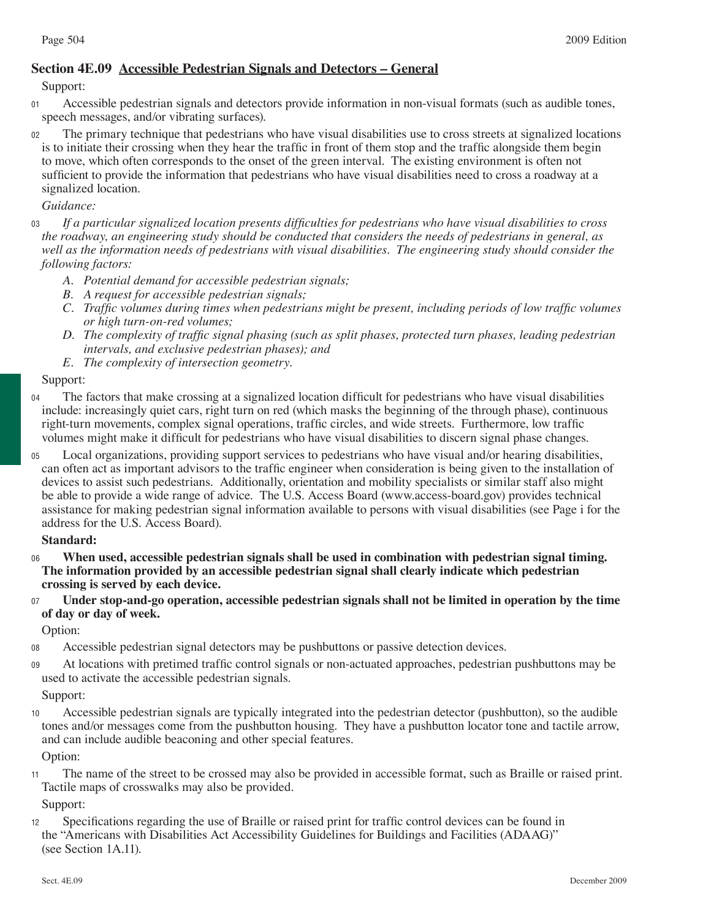# **Section 4E.09 Accessible Pedestrian Signals and Detectors – General**

Support:

- <sup>01</sup>Accessible pedestrian signals and detectors provide information in non-visual formats (such as audible tones, speech messages, and/or vibrating surfaces).
- <sup>02</sup>The primary technique that pedestrians who have visual disabilities use to cross streets at signalized locations is to initiate their crossing when they hear the traffic in front of them stop and the traffic alongside them begin to move, which often corresponds to the onset of the green interval. The existing environment is often not sufficient to provide the information that pedestrians who have visual disabilities need to cross a roadway at a signalized location.

# *Guidance:*

- <sup>03</sup>*If a particular signalized location presents difficulties for pedestrians who have visual disabilities to cross the roadway, an engineering study should be conducted that considers the needs of pedestrians in general, as well as the information needs of pedestrians with visual disabilities. The engineering study should consider the following factors:*
	- *A. Potential demand for accessible pedestrian signals;*
	- *B. A request for accessible pedestrian signals;*
	- *C. Traffic volumes during times when pedestrians might be present, including periods of low traffic volumes or high turn-on-red volumes;*
	- *D. The complexity of traffic signal phasing (such as split phases, protected turn phases, leading pedestrian intervals, and exclusive pedestrian phases); and*
	- *E. The complexity of intersection geometry.*

Support:

- <sup>04</sup>The factors that make crossing at a signalized location difficult for pedestrians who have visual disabilities include: increasingly quiet cars, right turn on red (which masks the beginning of the through phase), continuous right-turn movements, complex signal operations, traffic circles, and wide streets. Furthermore, low traffic volumes might make it difficult for pedestrians who have visual disabilities to discern signal phase changes.
- <sup>05</sup>Local organizations, providing support services to pedestrians who have visual and/or hearing disabilities, can often act as important advisors to the traffic engineer when consideration is being given to the installation of devices to assist such pedestrians. Additionally, orientation and mobility specialists or similar staff also might be able to provide a wide range of advice. The U.S. Access Board (www.access-board.gov) provides technical assistance for making pedestrian signal information available to persons with visual disabilities (see Page i for the address for the U.S. Access Board).

# **Standard:**

- <sup>06</sup>**When used, accessible pedestrian signals shall be used in combination with pedestrian signal timing. The information provided by an accessible pedestrian signal shall clearly indicate which pedestrian crossing is served by each device.**
- <sup>07</sup>**Under stop-and-go operation, accessible pedestrian signals shall not be limited in operation by the time of day or day of week.**

Option:

- <sup>08</sup>Accessible pedestrian signal detectors may be pushbuttons or passive detection devices.
- <sup>09</sup>At locations with pretimed traffic control signals or non-actuated approaches, pedestrian pushbuttons may be used to activate the accessible pedestrian signals.

Support:

<sup>10</sup>Accessible pedestrian signals are typically integrated into the pedestrian detector (pushbutton), so the audible tones and/or messages come from the pushbutton housing. They have a pushbutton locator tone and tactile arrow, and can include audible beaconing and other special features.

Option:

11 The name of the street to be crossed may also be provided in accessible format, such as Braille or raised print. Tactile maps of crosswalks may also be provided.

Support:

<sup>12</sup>Specifications regarding the use of Braille or raised print for traffic control devices can be found in the "Americans with Disabilities Act Accessibility Guidelines for Buildings and Facilities (ADAAG)" (see Section 1A.11).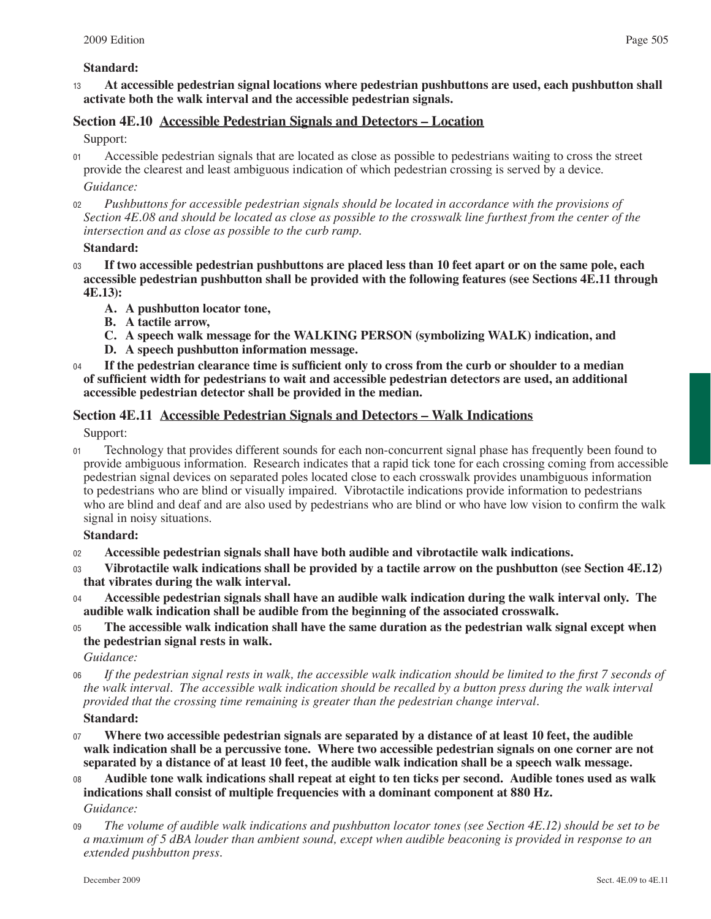# **Standard:**

<sup>13</sup>**At accessible pedestrian signal locations where pedestrian pushbuttons are used, each pushbutton shall activate both the walk interval and the accessible pedestrian signals.**

# **Section 4E.10 Accessible Pedestrian Signals and Detectors – Location**

Support:

- <sup>01</sup>Accessible pedestrian signals that are located as close as possible to pedestrians waiting to cross the street provide the clearest and least ambiguous indication of which pedestrian crossing is served by a device. *Guidance:*
- <sup>02</sup>*Pushbuttons for accessible pedestrian signals should be located in accordance with the provisions of Section 4E.08 and should be located as close as possible to the crosswalk line furthest from the center of the intersection and as close as possible to the curb ramp.*

**Standard:**

- <sup>03</sup>**If two accessible pedestrian pushbuttons are placed less than 10 feet apart or on the same pole, each accessible pedestrian pushbutton shall be provided with the following features (see Sections 4E.11 through 4E.13):**
	- **A. A pushbutton locator tone,**
	- **B. A tactile arrow,**
	- **C. A speech walk message for the WALKING PERSON (symbolizing WALK) indication, and**
	- **D. A speech pushbutton information message.**
- <sup>04</sup>**If the pedestrian clearance time is sufficient only to cross from the curb or shoulder to a median of sufficient width for pedestrians to wait and accessible pedestrian detectors are used, an additional accessible pedestrian detector shall be provided in the median.**

# **Section 4E.11 Accessible Pedestrian Signals and Detectors – Walk Indications**

Support:

<sup>01</sup>Technology that provides different sounds for each non-concurrent signal phase has frequently been found to provide ambiguous information. Research indicates that a rapid tick tone for each crossing coming from accessible pedestrian signal devices on separated poles located close to each crosswalk provides unambiguous information to pedestrians who are blind or visually impaired. Vibrotactile indications provide information to pedestrians who are blind and deaf and are also used by pedestrians who are blind or who have low vision to confirm the walk signal in noisy situations.

**Standard:**

- <sup>02</sup>**Accessible pedestrian signals shall have both audible and vibrotactile walk indications.**
- <sup>03</sup>**Vibrotactile walk indications shall be provided by a tactile arrow on the pushbutton (see Section 4E.12) that vibrates during the walk interval.**
- <sup>04</sup>**Accessible pedestrian signals shall have an audible walk indication during the walk interval only. The audible walk indication shall be audible from the beginning of the associated crosswalk.**
- <sup>05</sup>**The accessible walk indication shall have the same duration as the pedestrian walk signal except when the pedestrian signal rests in walk.**

*Guidance:*

<sup>06</sup>*If the pedestrian signal rests in walk, the accessible walk indication should be limited to the first 7 seconds of the walk interval. The accessible walk indication should be recalled by a button press during the walk interval provided that the crossing time remaining is greater than the pedestrian change interval.*

- <sup>07</sup>**Where two accessible pedestrian signals are separated by a distance of at least 10 feet, the audible walk indication shall be a percussive tone. Where two accessible pedestrian signals on one corner are not separated by a distance of at least 10 feet, the audible walk indication shall be a speech walk message.**
- <sup>08</sup>**Audible tone walk indications shall repeat at eight to ten ticks per second. Audible tones used as walk indications shall consist of multiple frequencies with a dominant component at 880 Hz.**
	- *Guidance:*
- <sup>09</sup>*The volume of audible walk indications and pushbutton locator tones (see Section 4E.12) should be set to be a maximum of 5 dBA louder than ambient sound, except when audible beaconing is provided in response to an extended pushbutton press.*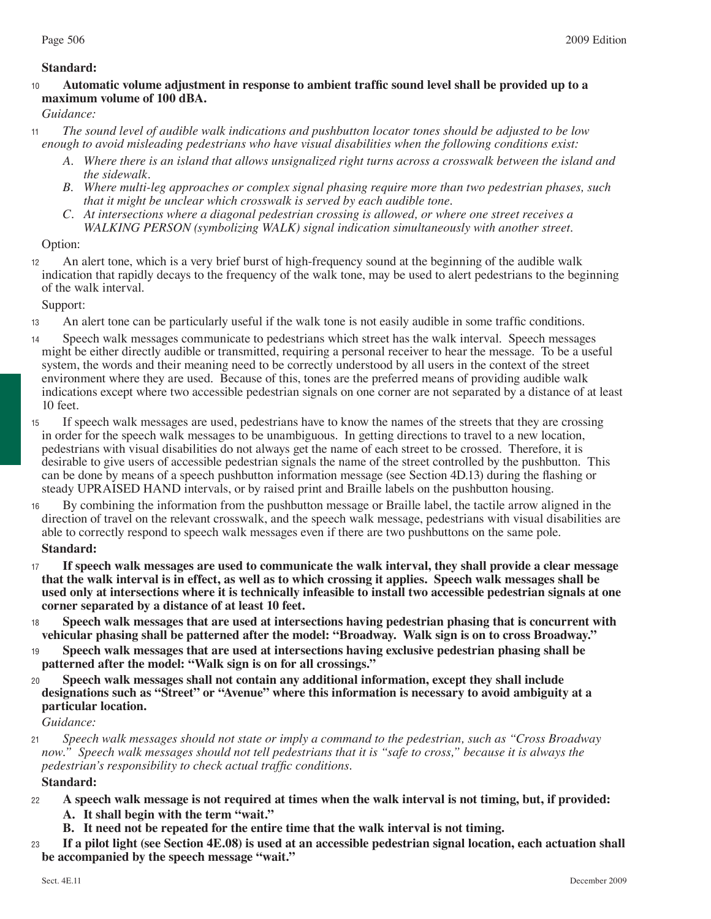# **Standard:**

# <sup>10</sup>**Automatic volume adjustment in response to ambient traffic sound level shall be provided up to a maximum volume of 100 dBA.**

*Guidance:*

- <sup>11</sup>*The sound level of audible walk indications and pushbutton locator tones should be adjusted to be low enough to avoid misleading pedestrians who have visual disabilities when the following conditions exist:*
	- *A. Where there is an island that allows unsignalized right turns across a crosswalk between the island and the sidewalk.*
	- *B. Where multi-leg approaches or complex signal phasing require more than two pedestrian phases, such that it might be unclear which crosswalk is served by each audible tone.*
	- *C. At intersections where a diagonal pedestrian crossing is allowed, or where one street receives a WALKING PERSON (symbolizing WALK) signal indication simultaneously with another street.*

# Option:

12 An alert tone, which is a very brief burst of high-frequency sound at the beginning of the audible walk indication that rapidly decays to the frequency of the walk tone, may be used to alert pedestrians to the beginning of the walk interval.

Support:

- 13 An alert tone can be particularly useful if the walk tone is not easily audible in some traffic conditions.
- <sup>14</sup>Speech walk messages communicate to pedestrians which street has the walk interval. Speech messages might be either directly audible or transmitted, requiring a personal receiver to hear the message. To be a useful system, the words and their meaning need to be correctly understood by all users in the context of the street environment where they are used. Because of this, tones are the preferred means of providing audible walk indications except where two accessible pedestrian signals on one corner are not separated by a distance of at least 10 feet.
- <sup>15</sup>If speech walk messages are used, pedestrians have to know the names of the streets that they are crossing in order for the speech walk messages to be unambiguous. In getting directions to travel to a new location, pedestrians with visual disabilities do not always get the name of each street to be crossed. Therefore, it is desirable to give users of accessible pedestrian signals the name of the street controlled by the pushbutton. This can be done by means of a speech pushbutton information message (see Section 4D.13) during the flashing or steady UPRAISED HAND intervals, or by raised print and Braille labels on the pushbutton housing.
- <sup>16</sup>By combining the information from the pushbutton message or Braille label, the tactile arrow aligned in the direction of travel on the relevant crosswalk, and the speech walk message, pedestrians with visual disabilities are able to correctly respond to speech walk messages even if there are two pushbuttons on the same pole.

# **Standard:**

- <sup>17</sup>**If speech walk messages are used to communicate the walk interval, they shall provide a clear message that the walk interval is in effect, as well as to which crossing it applies. Speech walk messages shall be used only at intersections where it is technically infeasible to install two accessible pedestrian signals at one corner separated by a distance of at least 10 feet.**
- <sup>18</sup>**Speech walk messages that are used at intersections having pedestrian phasing that is concurrent with vehicular phasing shall be patterned after the model: "Broadway. Walk sign is on to cross Broadway."**
- <sup>19</sup>**Speech walk messages that are used at intersections having exclusive pedestrian phasing shall be patterned after the model: "Walk sign is on for all crossings."**
- <sup>20</sup>**Speech walk messages shall not contain any additional information, except they shall include designations such as "Street" or "Avenue" where this information is necessary to avoid ambiguity at a particular location.**

*Guidance:*

<sup>21</sup>*Speech walk messages should not state or imply a command to the pedestrian, such as "Cross Broadway now." Speech walk messages should not tell pedestrians that it is "safe to cross," because it is always the pedestrian's responsibility to check actual traffic conditions.*

- <sup>22</sup>**A speech walk message is not required at times when the walk interval is not timing, but, if provided: A. It shall begin with the term "wait."**
	- **B. It need not be repeated for the entire time that the walk interval is not timing.**
- <sup>23</sup>**If a pilot light (see Section 4E.08) is used at an accessible pedestrian signal location, each actuation shall be accompanied by the speech message "wait."**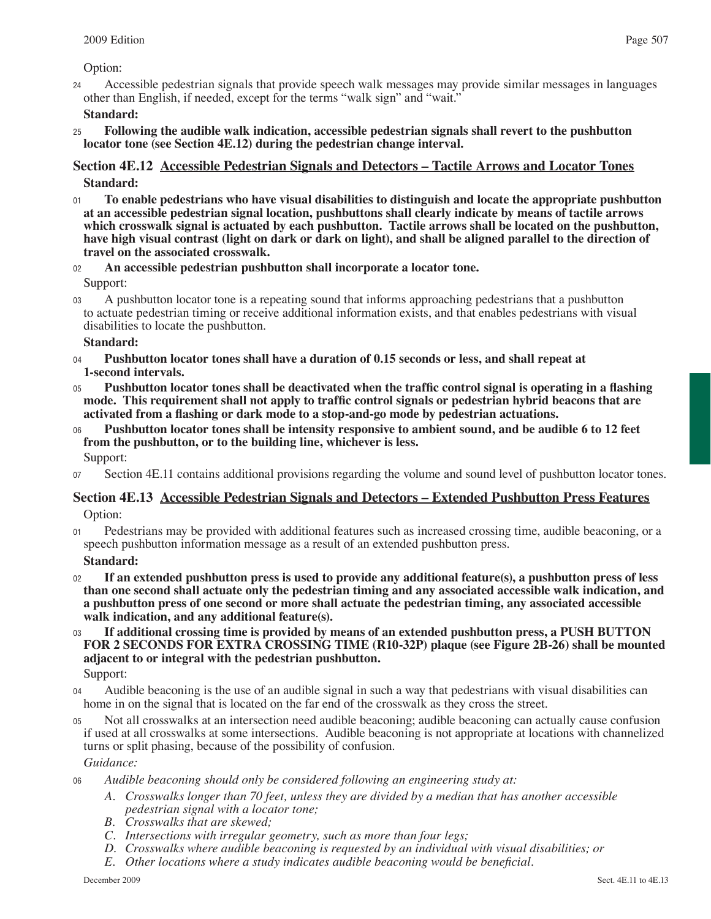<sup>24</sup>Accessible pedestrian signals that provide speech walk messages may provide similar messages in languages other than English, if needed, except for the terms "walk sign" and "wait."

```
Standard:
```
<sup>25</sup>**Following the audible walk indication, accessible pedestrian signals shall revert to the pushbutton locator tone (see Section 4E.12) during the pedestrian change interval.**

# **Section 4E.12 Accessible Pedestrian Signals and Detectors – Tactile Arrows and Locator Tones Standard:**

<sup>01</sup>**To enable pedestrians who have visual disabilities to distinguish and locate the appropriate pushbutton at an accessible pedestrian signal location, pushbuttons shall clearly indicate by means of tactile arrows which crosswalk signal is actuated by each pushbutton. Tactile arrows shall be located on the pushbutton, have high visual contrast (light on dark or dark on light), and shall be aligned parallel to the direction of travel on the associated crosswalk.**

# <sup>02</sup>**An accessible pedestrian pushbutton shall incorporate a locator tone.**

Support:

<sup>03</sup>A pushbutton locator tone is a repeating sound that informs approaching pedestrians that a pushbutton to actuate pedestrian timing or receive additional information exists, and that enables pedestrians with visual disabilities to locate the pushbutton.

**Standard:**

- <sup>04</sup>**Pushbutton locator tones shall have a duration of 0.15 seconds or less, and shall repeat at 1-second intervals.**
- <sup>05</sup>**Pushbutton locator tones shall be deactivated when the traffic control signal is operating in a flashing mode. This requirement shall not apply to traffic control signals or pedestrian hybrid beacons that are activated from a flashing or dark mode to a stop-and-go mode by pedestrian actuations.**
- <sup>06</sup>**Pushbutton locator tones shall be intensity responsive to ambient sound, and be audible 6 to 12 feet from the pushbutton, or to the building line, whichever is less.** Support:

07 Section 4E.11 contains additional provisions regarding the volume and sound level of pushbutton locator tones.

# **Section 4E.13 Accessible Pedestrian Signals and Detectors – Extended Pushbutton Press Features** Option:

<sup>01</sup>Pedestrians may be provided with additional features such as increased crossing time, audible beaconing, or a speech pushbutton information message as a result of an extended pushbutton press.

**Standard:**

<sup>02</sup>**If an extended pushbutton press is used to provide any additional feature(s), a pushbutton press of less than one second shall actuate only the pedestrian timing and any associated accessible walk indication, and a pushbutton press of one second or more shall actuate the pedestrian timing, any associated accessible walk indication, and any additional feature(s).**

#### <sup>03</sup>**If additional crossing time is provided by means of an extended pushbutton press, a PUSH BUTTON FOR 2 SECONDS FOR EXTRA CROSSING TIME (R10-32P) plaque (see Figure 2B-26) shall be mounted adjacent to or integral with the pedestrian pushbutton.** Support:

<sup>04</sup>Audible beaconing is the use of an audible signal in such a way that pedestrians with visual disabilities can home in on the signal that is located on the far end of the crosswalk as they cross the street.

Not all crosswalks at an intersection need audible beaconing; audible beaconing can actually cause confusion if used at all crosswalks at some intersections. Audible beaconing is not appropriate at locations with channelized turns or split phasing, because of the possibility of confusion. *Guidance:*

<sup>06</sup>*Audible beaconing should only be considered following an engineering study at:*

- *A. Crosswalks longer than 70 feet, unless they are divided by a median that has another accessible pedestrian signal with a locator tone;*
- *B. Crosswalks that are skewed;*
- *C. Intersections with irregular geometry, such as more than four legs;*
- *D. Crosswalks where audible beaconing is requested by an individual with visual disabilities; or*
- *E. Other locations where a study indicates audible beaconing would be beneficial.*